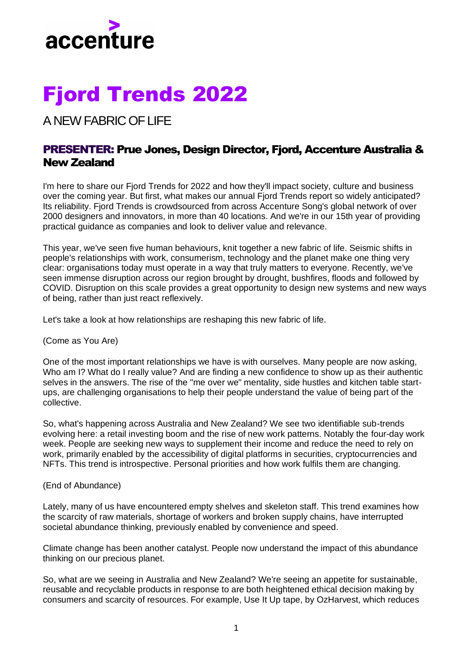

## Fjord Trends 2022

A NEW FABRIC OF LIFE

## PRESENTER: Prue Jones, Design Director, Fjord, Accenture Australia & New Zealand

I'm here to share our Fjord Trends for 2022 and how they'll impact society, culture and business over the coming year. But first, what makes our annual Fjord Trends report so widely anticipated? Its reliability. Fjord Trends is crowdsourced from across Accenture Song's global network of over 2000 designers and innovators, in more than 40 locations. And we're in our 15th year of providing practical guidance as companies and look to deliver value and relevance.

This year, we've seen five human behaviours, knit together a new fabric of life. Seismic shifts in people's relationships with work, consumerism, technology and the planet make one thing very clear: organisations today must operate in a way that truly matters to everyone. Recently, we've seen immense disruption across our region brought by drought, bushfires, floods and followed by COVID. Disruption on this scale provides a great opportunity to design new systems and new ways of being, rather than just react reflexively.

Let's take a look at how relationships are reshaping this new fabric of life.

(Come as You Are)

One of the most important relationships we have is with ourselves. Many people are now asking, Who am I? What do I really value? And are finding a new confidence to show up as their authentic selves in the answers. The rise of the "me over we" mentality, side hustles and kitchen table startups, are challenging organisations to help their people understand the value of being part of the collective.

So, what's happening across Australia and New Zealand? We see two identifiable sub-trends evolving here: a retail investing boom and the rise of new work patterns. Notably the four-day work week. People are seeking new ways to supplement their income and reduce the need to rely on work, primarily enabled by the accessibility of digital platforms in securities, cryptocurrencies and NFTs. This trend is introspective. Personal priorities and how work fulfils them are changing.

(End of Abundance)

Lately, many of us have encountered empty shelves and skeleton staff. This trend examines how the scarcity of raw materials, shortage of workers and broken supply chains, have interrupted societal abundance thinking, previously enabled by convenience and speed.

Climate change has been another catalyst. People now understand the impact of this abundance thinking on our precious planet.

So, what are we seeing in Australia and New Zealand? We're seeing an appetite for sustainable, reusable and recyclable products in response to are both heightened ethical decision making by consumers and scarcity of resources. For example, Use It Up tape, by OzHarvest, which reduces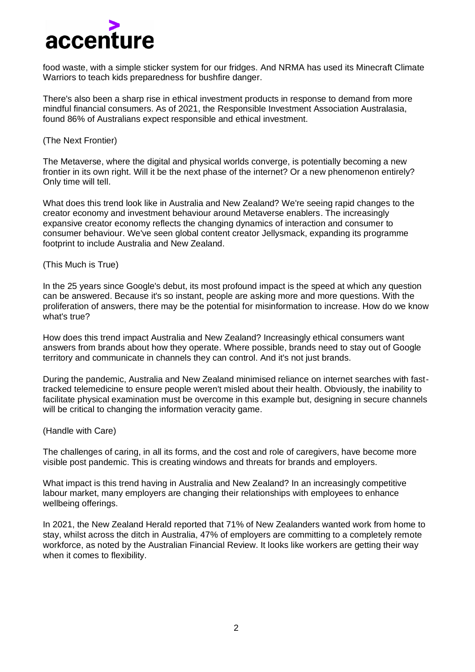

food waste, with a simple sticker system for our fridges. And NRMA has used its Minecraft Climate Warriors to teach kids preparedness for bushfire danger.

There's also been a sharp rise in ethical investment products in response to demand from more mindful financial consumers. As of 2021, the Responsible Investment Association Australasia, found 86% of Australians expect responsible and ethical investment.

(The Next Frontier)

The Metaverse, where the digital and physical worlds converge, is potentially becoming a new frontier in its own right. Will it be the next phase of the internet? Or a new phenomenon entirely? Only time will tell.

What does this trend look like in Australia and New Zealand? We're seeing rapid changes to the creator economy and investment behaviour around Metaverse enablers. The increasingly expansive creator economy reflects the changing dynamics of interaction and consumer to consumer behaviour. We've seen global content creator Jellysmack, expanding its programme footprint to include Australia and New Zealand.

(This Much is True)

In the 25 years since Google's debut, its most profound impact is the speed at which any question can be answered. Because it's so instant, people are asking more and more questions. With the proliferation of answers, there may be the potential for misinformation to increase. How do we know what's true?

How does this trend impact Australia and New Zealand? Increasingly ethical consumers want answers from brands about how they operate. Where possible, brands need to stay out of Google territory and communicate in channels they can control. And it's not just brands.

During the pandemic, Australia and New Zealand minimised reliance on internet searches with fasttracked telemedicine to ensure people weren't misled about their health. Obviously, the inability to facilitate physical examination must be overcome in this example but, designing in secure channels will be critical to changing the information veracity game.

(Handle with Care)

The challenges of caring, in all its forms, and the cost and role of caregivers, have become more visible post pandemic. This is creating windows and threats for brands and employers.

What impact is this trend having in Australia and New Zealand? In an increasingly competitive labour market, many employers are changing their relationships with employees to enhance wellbeing offerings.

In 2021, the New Zealand Herald reported that 71% of New Zealanders wanted work from home to stay, whilst across the ditch in Australia, 47% of employers are committing to a completely remote workforce, as noted by the Australian Financial Review. It looks like workers are getting their way when it comes to flexibility.